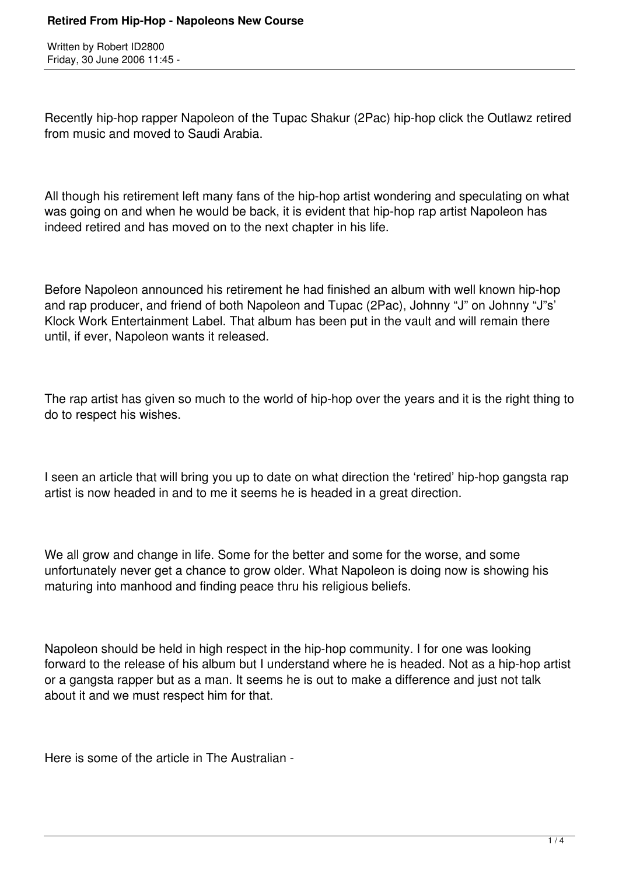Written by Robert ID2800 Friday, 30 June 2006 11:45 -

Recently hip-hop rapper Napoleon of the Tupac Shakur (2Pac) hip-hop click the Outlawz retired from music and moved to Saudi Arabia.

All though his retirement left many fans of the hip-hop artist wondering and speculating on what was going on and when he would be back, it is evident that hip-hop rap artist Napoleon has indeed retired and has moved on to the next chapter in his life.

Before Napoleon announced his retirement he had finished an album with well known hip-hop and rap producer, and friend of both Napoleon and Tupac (2Pac), Johnny "J" on Johnny "J"s' Klock Work Entertainment Label. That album has been put in the vault and will remain there until, if ever, Napoleon wants it released.

The rap artist has given so much to the world of hip-hop over the years and it is the right thing to do to respect his wishes.

I seen an article that will bring you up to date on what direction the 'retired' hip-hop gangsta rap artist is now headed in and to me it seems he is headed in a great direction.

We all grow and change in life. Some for the better and some for the worse, and some unfortunately never get a chance to grow older. What Napoleon is doing now is showing his maturing into manhood and finding peace thru his religious beliefs.

Napoleon should be held in high respect in the hip-hop community. I for one was looking forward to the release of his album but I understand where he is headed. Not as a hip-hop artist or a gangsta rapper but as a man. It seems he is out to make a difference and just not talk about it and we must respect him for that.

Here is some of the article in The Australian -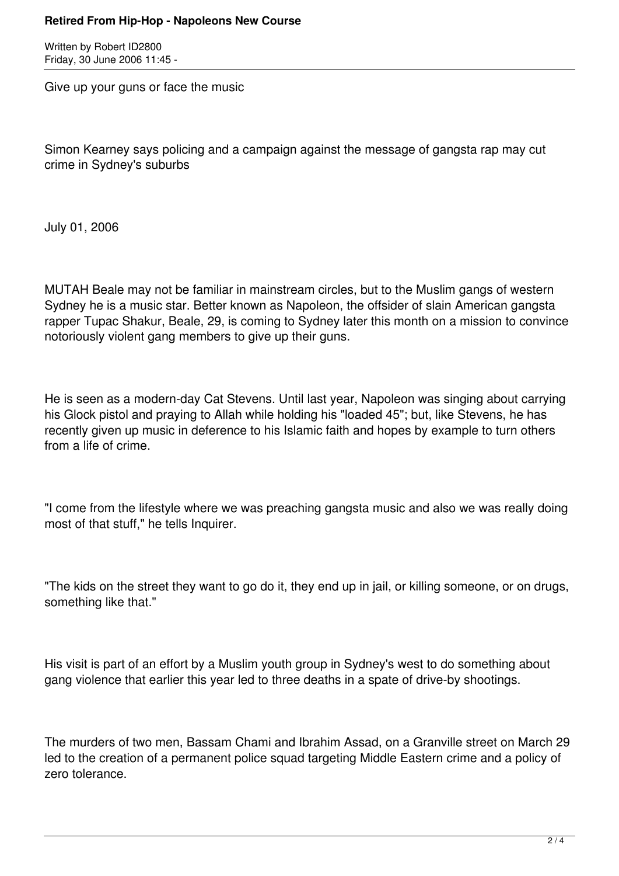## **Retired From Hip-Hop - Napoleons New Course**

Written by Robert ID2800 Friday, 30 June 2006 11:45 -

Give up your guns or face the music

Simon Kearney says policing and a campaign against the message of gangsta rap may cut crime in Sydney's suburbs

July 01, 2006

MUTAH Beale may not be familiar in mainstream circles, but to the Muslim gangs of western Sydney he is a music star. Better known as Napoleon, the offsider of slain American gangsta rapper Tupac Shakur, Beale, 29, is coming to Sydney later this month on a mission to convince notoriously violent gang members to give up their guns.

He is seen as a modern-day Cat Stevens. Until last year, Napoleon was singing about carrying his Glock pistol and praying to Allah while holding his "loaded 45"; but, like Stevens, he has recently given up music in deference to his Islamic faith and hopes by example to turn others from a life of crime.

"I come from the lifestyle where we was preaching gangsta music and also we was really doing most of that stuff," he tells Inquirer.

"The kids on the street they want to go do it, they end up in jail, or killing someone, or on drugs, something like that."

His visit is part of an effort by a Muslim youth group in Sydney's west to do something about gang violence that earlier this year led to three deaths in a spate of drive-by shootings.

The murders of two men, Bassam Chami and Ibrahim Assad, on a Granville street on March 29 led to the creation of a permanent police squad targeting Middle Eastern crime and a policy of zero tolerance.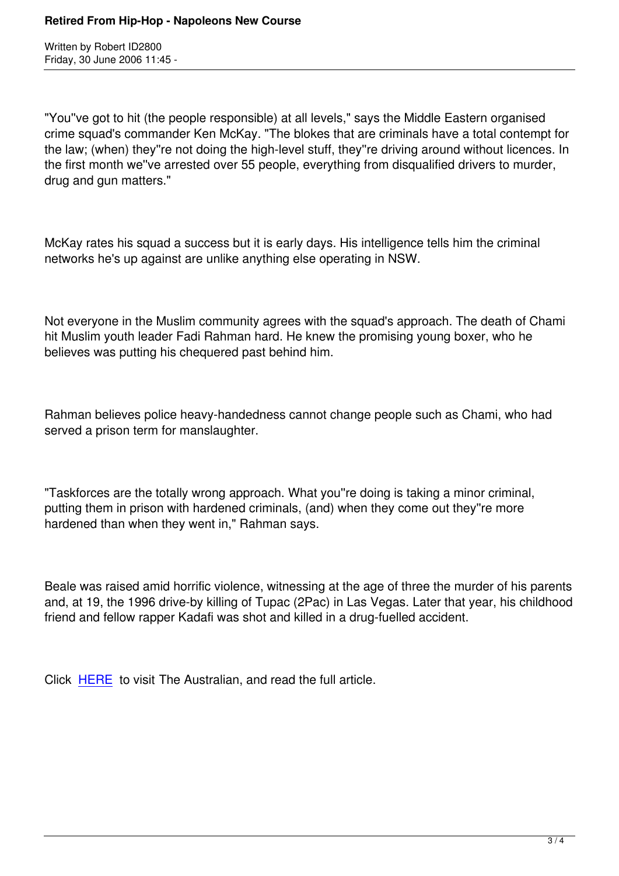"You''ve got to hit (the people responsible) at all levels," says the Middle Eastern organised crime squad's commander Ken McKay. "The blokes that are criminals have a total contempt for the law; (when) they''re not doing the high-level stuff, they''re driving around without licences. In the first month we''ve arrested over 55 people, everything from disqualified drivers to murder, drug and gun matters."

McKay rates his squad a success but it is early days. His intelligence tells him the criminal networks he's up against are unlike anything else operating in NSW.

Not everyone in the Muslim community agrees with the squad's approach. The death of Chami hit Muslim youth leader Fadi Rahman hard. He knew the promising young boxer, who he believes was putting his chequered past behind him.

Rahman believes police heavy-handedness cannot change people such as Chami, who had served a prison term for manslaughter.

"Taskforces are the totally wrong approach. What you''re doing is taking a minor criminal, putting them in prison with hardened criminals, (and) when they come out they''re more hardened than when they went in," Rahman says.

Beale was raised amid horrific violence, witnessing at the age of three the murder of his parents and, at 19, the 1996 drive-by killing of Tupac (2Pac) in Las Vegas. Later that year, his childhood friend and fellow rapper Kadafi was shot and killed in a drug-fuelled accident.

Click HERE to visit The Australian, and read the full article.